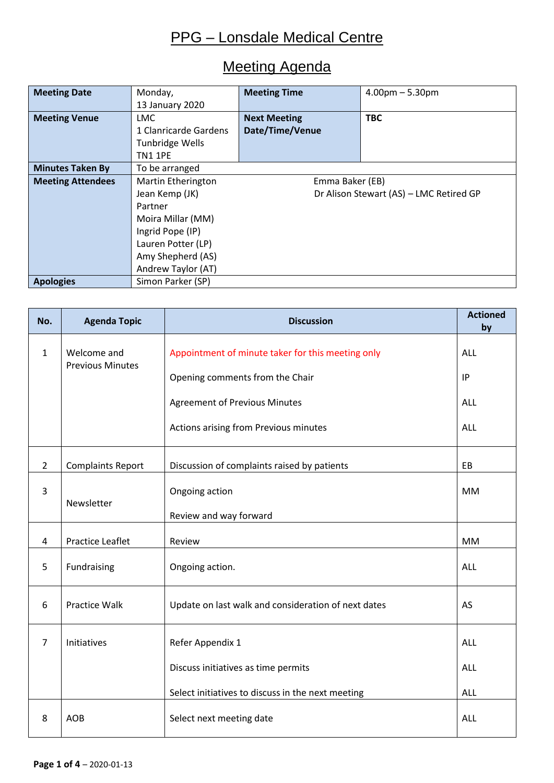### Meeting Agenda

| <b>Meeting Date</b>      | Monday,                   | <b>Meeting Time</b>                     | $4.00pm - 5.30pm$ |  |
|--------------------------|---------------------------|-----------------------------------------|-------------------|--|
|                          | 13 January 2020           |                                         |                   |  |
| <b>Meeting Venue</b>     | <b>LMC</b>                | <b>TBC</b><br><b>Next Meeting</b>       |                   |  |
|                          | 1 Clanricarde Gardens     | Date/Time/Venue                         |                   |  |
|                          | Tunbridge Wells           |                                         |                   |  |
|                          | <b>TN1 1PE</b>            |                                         |                   |  |
| <b>Minutes Taken By</b>  | To be arranged            |                                         |                   |  |
| <b>Meeting Attendees</b> | <b>Martin Etherington</b> | Emma Baker (EB)                         |                   |  |
|                          | Jean Kemp (JK)            | Dr Alison Stewart (AS) - LMC Retired GP |                   |  |
|                          | Partner                   |                                         |                   |  |
|                          | Moira Millar (MM)         |                                         |                   |  |
|                          | Ingrid Pope (IP)          |                                         |                   |  |
|                          | Lauren Potter (LP)        |                                         |                   |  |
|                          | Amy Shepherd (AS)         |                                         |                   |  |
|                          | Andrew Taylor (AT)        |                                         |                   |  |
| <b>Apologies</b>         | Simon Parker (SP)         |                                         |                   |  |

| No.            | <b>Agenda Topic</b>                    | <b>Discussion</b>                                   | <b>Actioned</b><br>by |
|----------------|----------------------------------------|-----------------------------------------------------|-----------------------|
| $\mathbf{1}$   | Welcome and<br><b>Previous Minutes</b> | Appointment of minute taker for this meeting only   | <b>ALL</b>            |
|                |                                        | Opening comments from the Chair                     | IP                    |
|                |                                        | <b>Agreement of Previous Minutes</b>                | <b>ALL</b>            |
|                |                                        | Actions arising from Previous minutes               | <b>ALL</b>            |
| $\overline{2}$ | <b>Complaints Report</b>               | Discussion of complaints raised by patients         | EB                    |
| $\overline{3}$ | Newsletter                             | Ongoing action                                      | <b>MM</b>             |
|                |                                        | Review and way forward                              |                       |
| 4              | <b>Practice Leaflet</b>                | Review                                              | <b>MM</b>             |
| 5              | Fundraising                            | Ongoing action.                                     | <b>ALL</b>            |
| 6              | <b>Practice Walk</b>                   | Update on last walk and consideration of next dates | AS                    |
| $\overline{7}$ | Initiatives                            | Refer Appendix 1                                    | <b>ALL</b>            |
|                |                                        | Discuss initiatives as time permits                 | <b>ALL</b>            |
|                |                                        | Select initiatives to discuss in the next meeting   | <b>ALL</b>            |
| 8              | <b>AOB</b>                             | Select next meeting date                            | <b>ALL</b>            |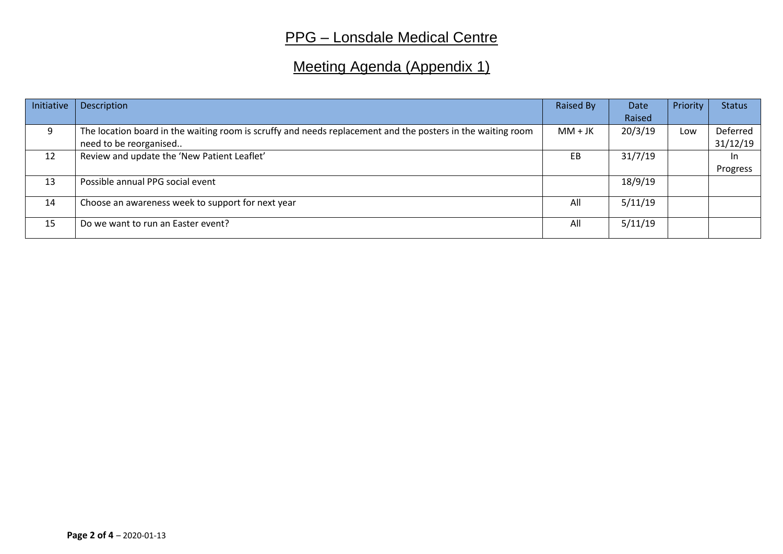# Meeting Agenda (Appendix 1)

| Initiative | Description                                                                                                 | Raised By | Date    | Priority | <b>Status</b> |
|------------|-------------------------------------------------------------------------------------------------------------|-----------|---------|----------|---------------|
|            |                                                                                                             |           | Raised  |          |               |
| 9          | The location board in the waiting room is scruffy and needs replacement and the posters in the waiting room | $MM + JK$ | 20/3/19 | Low      | Deferred      |
|            | need to be reorganised                                                                                      |           |         |          | 31/12/19      |
| 12         | Review and update the 'New Patient Leaflet'                                                                 | EB        | 31/7/19 |          | In.           |
|            |                                                                                                             |           |         |          | Progress      |
| 13         | Possible annual PPG social event                                                                            |           | 18/9/19 |          |               |
|            |                                                                                                             |           |         |          |               |
| 14         | Choose an awareness week to support for next year                                                           | All       | 5/11/19 |          |               |
|            |                                                                                                             |           |         |          |               |
| 15         | Do we want to run an Easter event?                                                                          | All       | 5/11/19 |          |               |
|            |                                                                                                             |           |         |          |               |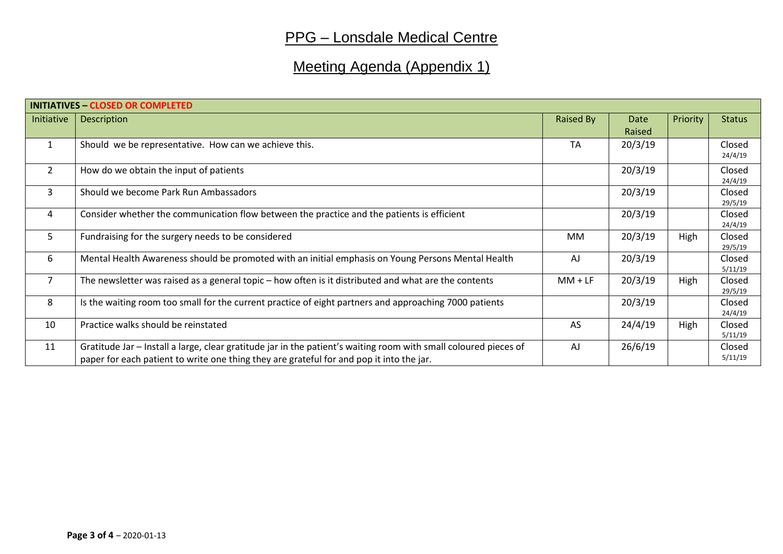# Meeting Agenda (Appendix 1)

| <b>INITIATIVES - CLOSED OR COMPLETED</b> |                                                                                                                                                                                                              |           |                |          |                   |
|------------------------------------------|--------------------------------------------------------------------------------------------------------------------------------------------------------------------------------------------------------------|-----------|----------------|----------|-------------------|
| Initiative                               | <b>Description</b>                                                                                                                                                                                           | Raised By | Date<br>Raised | Priority | <b>Status</b>     |
| $\mathbf{1}$                             | Should we be representative. How can we achieve this.                                                                                                                                                        | <b>TA</b> | 20/3/19        |          | Closed<br>24/4/19 |
| $\overline{2}$                           | How do we obtain the input of patients                                                                                                                                                                       |           | 20/3/19        |          | Closed<br>24/4/19 |
| 3                                        | Should we become Park Run Ambassadors                                                                                                                                                                        |           | 20/3/19        |          | Closed<br>29/5/19 |
| $\overline{4}$                           | Consider whether the communication flow between the practice and the patients is efficient                                                                                                                   |           | 20/3/19        |          | Closed<br>24/4/19 |
| 5                                        | Fundraising for the surgery needs to be considered                                                                                                                                                           | MM        | 20/3/19        | High     | Closed<br>29/5/19 |
| 6                                        | Mental Health Awareness should be promoted with an initial emphasis on Young Persons Mental Health                                                                                                           | AJ        | 20/3/19        |          | Closed<br>5/11/19 |
| 7                                        | The newsletter was raised as a general topic – how often is it distributed and what are the contents                                                                                                         | $MM + LF$ | 20/3/19        | High     | Closed<br>29/5/19 |
| 8                                        | Is the waiting room too small for the current practice of eight partners and approaching 7000 patients                                                                                                       |           | 20/3/19        |          | Closed<br>24/4/19 |
| 10                                       | Practice walks should be reinstated                                                                                                                                                                          | AS        | 24/4/19        | High     | Closed<br>5/11/19 |
| 11                                       | Gratitude Jar – Install a large, clear gratitude jar in the patient's waiting room with small coloured pieces of<br>paper for each patient to write one thing they are grateful for and pop it into the jar. | AJ        | 26/6/19        |          | Closed<br>5/11/19 |